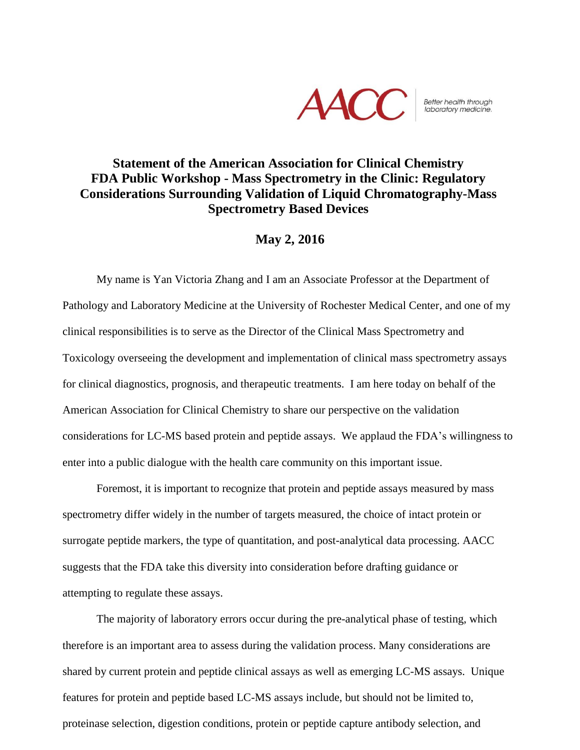

## Better health through<br>laboratory medicine.

## **Statement of the American Association for Clinical Chemistry FDA Public Workshop - Mass Spectrometry in the Clinic: Regulatory Considerations Surrounding Validation of Liquid Chromatography-Mass Spectrometry Based Devices**

## **May 2, 2016**

My name is Yan Victoria Zhang and I am an Associate Professor at the Department of Pathology and Laboratory Medicine at the University of Rochester Medical Center, and one of my clinical responsibilities is to serve as the Director of the Clinical Mass Spectrometry and Toxicology overseeing the development and implementation of clinical mass spectrometry assays for clinical diagnostics, prognosis, and therapeutic treatments. I am here today on behalf of the American Association for Clinical Chemistry to share our perspective on the validation considerations for LC-MS based protein and peptide assays. We applaud the FDA's willingness to enter into a public dialogue with the health care community on this important issue.

Foremost, it is important to recognize that protein and peptide assays measured by mass spectrometry differ widely in the number of targets measured, the choice of intact protein or surrogate peptide markers, the type of quantitation, and post-analytical data processing. AACC suggests that the FDA take this diversity into consideration before drafting guidance or attempting to regulate these assays.

The majority of laboratory errors occur during the pre-analytical phase of testing, which therefore is an important area to assess during the validation process. Many considerations are shared by current protein and peptide clinical assays as well as emerging LC-MS assays. Unique features for protein and peptide based LC-MS assays include, but should not be limited to, proteinase selection, digestion conditions, protein or peptide capture antibody selection, and